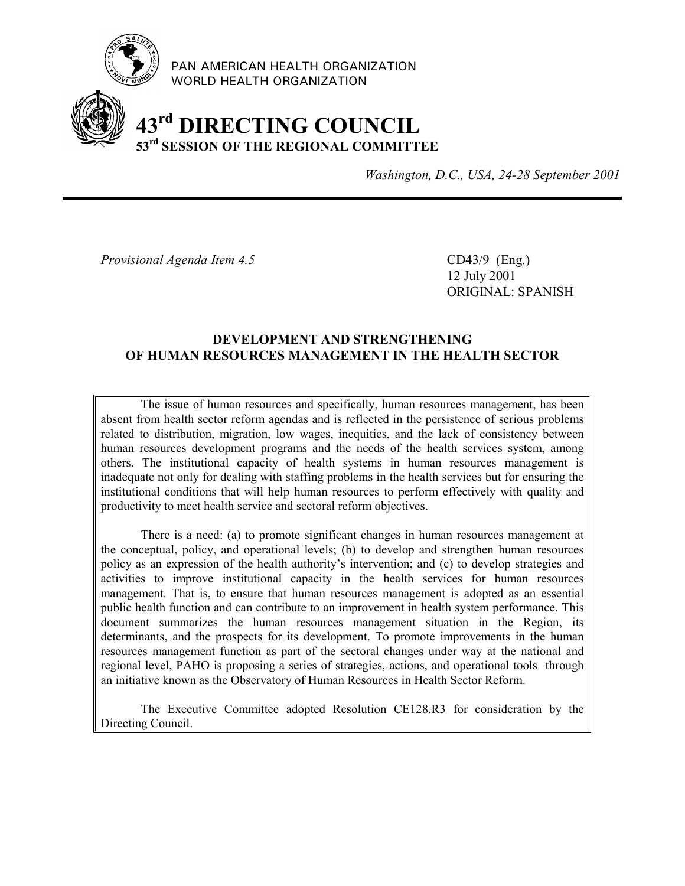

PAN AMERICAN HEALTH ORGANIZATION WORLD HEALTH ORGANIZATION

# **43rd DIRECTING COUNCIL 53rd SESSION OF THE REGIONAL COMMITTEE**

*Washington, D.C., USA, 24-28 September 2001*

*Provisional Agenda Item 4.5* CD43/9 (Eng.)

12 July 2001 ORIGINAL: SPANISH

#### **DEVELOPMENT AND STRENGTHENING OF HUMAN RESOURCES MANAGEMENT IN THE HEALTH SECTOR**

The issue of human resources and specifically, human resources management, has been absent from health sector reform agendas and is reflected in the persistence of serious problems related to distribution, migration, low wages, inequities, and the lack of consistency between human resources development programs and the needs of the health services system, among others. The institutional capacity of health systems in human resources management is inadequate not only for dealing with staffing problems in the health services but for ensuring the institutional conditions that will help human resources to perform effectively with quality and productivity to meet health service and sectoral reform objectives.

There is a need: (a) to promote significant changes in human resources management at the conceptual, policy, and operational levels; (b) to develop and strengthen human resources policy as an expression of the health authority's intervention; and (c) to develop strategies and activities to improve institutional capacity in the health services for human resources management. That is, to ensure that human resources management is adopted as an essential public health function and can contribute to an improvement in health system performance. This document summarizes the human resources management situation in the Region, its determinants, and the prospects for its development. To promote improvements in the human resources management function as part of the sectoral changes under way at the national and regional level, PAHO is proposing a series of strategies, actions, and operational tools through an initiative known as the Observatory of Human Resources in Health Sector Reform.

The Executive Committee adopted Resolution CE128.R3 for consideration by the Directing Council.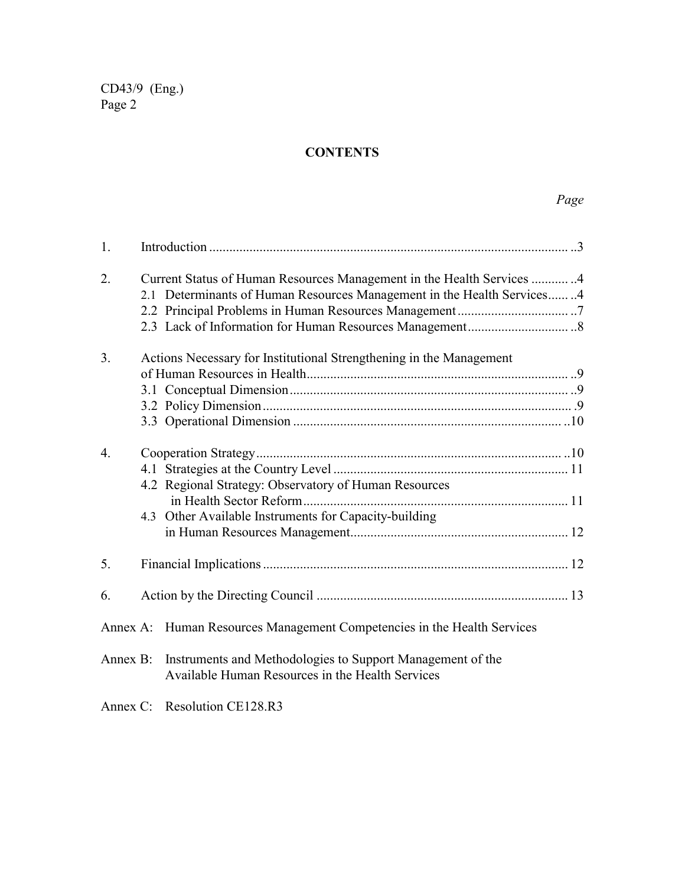### **CONTENTS**

| 1.               |                                                                                                                                                                                                    |  |
|------------------|----------------------------------------------------------------------------------------------------------------------------------------------------------------------------------------------------|--|
| 2.               | Current Status of Human Resources Management in the Health Services 4<br>2.1 Determinants of Human Resources Management in the Health Services4                                                    |  |
| 3 <sub>1</sub>   | Actions Necessary for Institutional Strengthening in the Management                                                                                                                                |  |
| $\overline{4}$ . | 4.2 Regional Strategy: Observatory of Human Resources<br>4.3 Other Available Instruments for Capacity-building                                                                                     |  |
| 5.               |                                                                                                                                                                                                    |  |
| 6.               |                                                                                                                                                                                                    |  |
|                  | Annex A: Human Resources Management Competencies in the Health Services<br>Annex B: Instruments and Methodologies to Support Management of the<br>Available Human Resources in the Health Services |  |
|                  |                                                                                                                                                                                                    |  |

Annex C: Resolution CE128.R3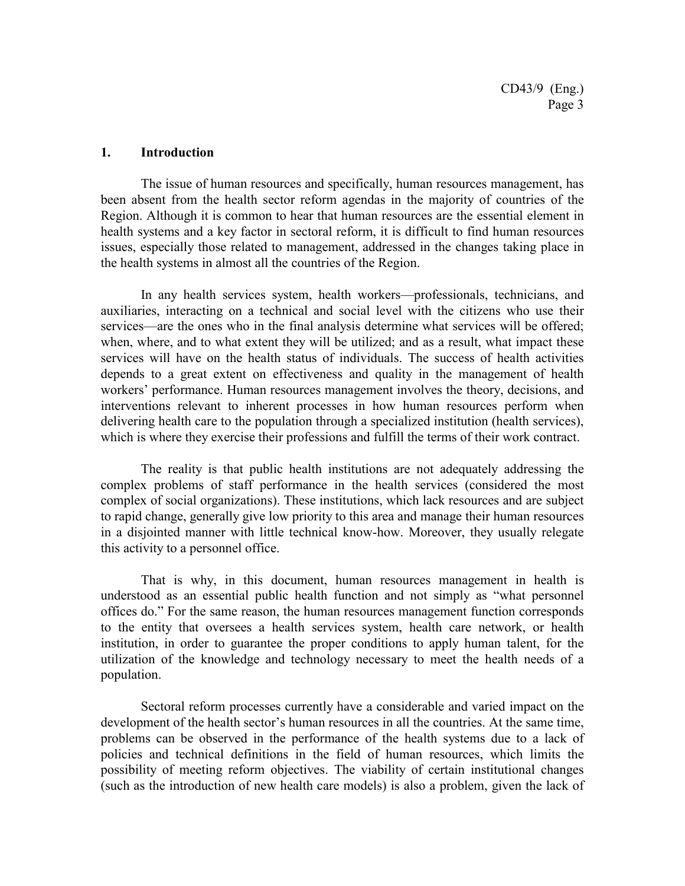#### **1. Introduction**

The issue of human resources and specifically, human resources management, has been absent from the health sector reform agendas in the majority of countries of the Region. Although it is common to hear that human resources are the essential element in health systems and a key factor in sectoral reform, it is difficult to find human resources issues, especially those related to management, addressed in the changes taking place in the health systems in almost all the countries of the Region.

In any health services system, health workers—professionals, technicians, and auxiliaries, interacting on a technical and social level with the citizens who use their services—are the ones who in the final analysis determine what services will be offered; when, where, and to what extent they will be utilized; and as a result, what impact these services will have on the health status of individuals. The success of health activities depends to a great extent on effectiveness and quality in the management of health workers' performance. Human resources management involves the theory, decisions, and interventions relevant to inherent processes in how human resources perform when delivering health care to the population through a specialized institution (health services), which is where they exercise their professions and fulfill the terms of their work contract.

The reality is that public health institutions are not adequately addressing the complex problems of staff performance in the health services (considered the most complex of social organizations). These institutions, which lack resources and are subject to rapid change, generally give low priority to this area and manage their human resources in a disjointed manner with little technical know-how. Moreover, they usually relegate this activity to a personnel office.

That is why, in this document, human resources management in health is understood as an essential public health function and not simply as "what personnel offices do." For the same reason, the human resources management function corresponds to the entity that oversees a health services system, health care network, or health institution, in order to guarantee the proper conditions to apply human talent, for the utilization of the knowledge and technology necessary to meet the health needs of a population.

Sectoral reform processes currently have a considerable and varied impact on the development of the health sector's human resources in all the countries. At the same time, problems can be observed in the performance of the health systems due to a lack of policies and technical definitions in the field of human resources, which limits the possibility of meeting reform objectives. The viability of certain institutional changes (such as the introduction of new health care models) is also a problem, given the lack of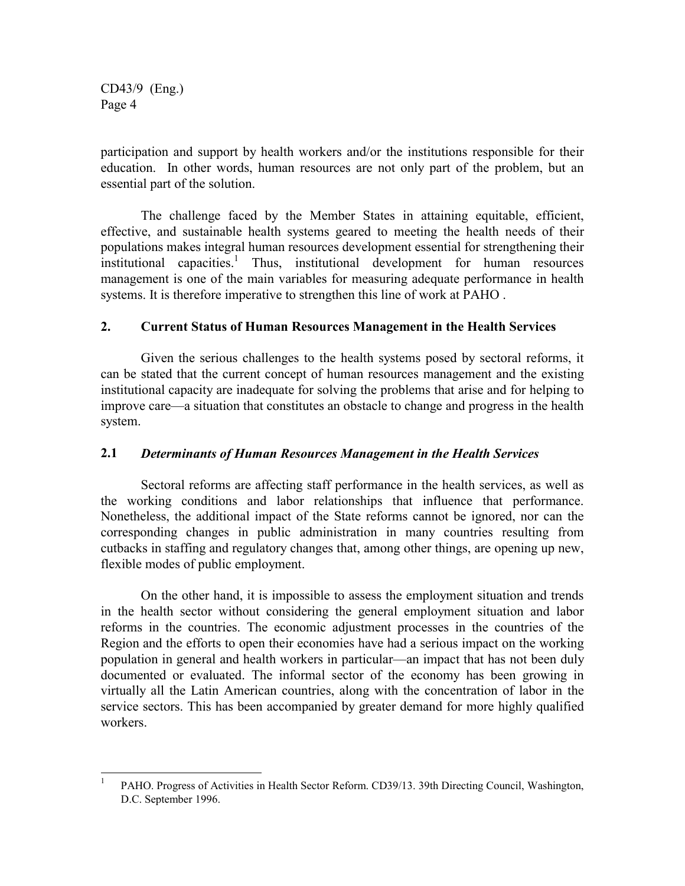participation and support by health workers and/or the institutions responsible for their education. In other words, human resources are not only part of the problem, but an essential part of the solution.

The challenge faced by the Member States in attaining equitable, efficient, effective, and sustainable health systems geared to meeting the health needs of their populations makes integral human resources development essential for strengthening their institutional capacities.<sup>1</sup> Thus, institutional development for human resources management is one of the main variables for measuring adequate performance in health systems. It is therefore imperative to strengthen this line of work at PAHO .

#### **2. Current Status of Human Resources Management in the Health Services**

Given the serious challenges to the health systems posed by sectoral reforms, it can be stated that the current concept of human resources management and the existing institutional capacity are inadequate for solving the problems that arise and for helping to improve care—a situation that constitutes an obstacle to change and progress in the health system.

#### **2.1** *Determinants of Human Resources Management in the Health Services*

Sectoral reforms are affecting staff performance in the health services, as well as the working conditions and labor relationships that influence that performance. Nonetheless, the additional impact of the State reforms cannot be ignored, nor can the corresponding changes in public administration in many countries resulting from cutbacks in staffing and regulatory changes that, among other things, are opening up new, flexible modes of public employment.

On the other hand, it is impossible to assess the employment situation and trends in the health sector without considering the general employment situation and labor reforms in the countries. The economic adjustment processes in the countries of the Region and the efforts to open their economies have had a serious impact on the working population in general and health workers in particular—an impact that has not been duly documented or evaluated. The informal sector of the economy has been growing in virtually all the Latin American countries, along with the concentration of labor in the service sectors. This has been accompanied by greater demand for more highly qualified workers.

 $\mathbf{1}$ <sup>1</sup> PAHO. Progress of Activities in Health Sector Reform. CD39/13. 39th Directing Council, Washington, D.C. September 1996.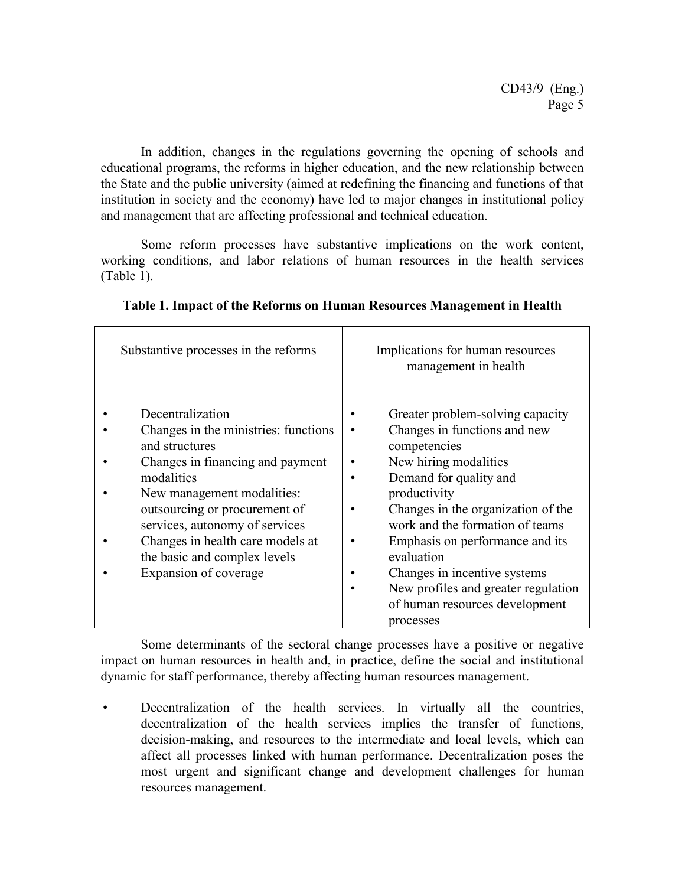In addition, changes in the regulations governing the opening of schools and educational programs, the reforms in higher education, and the new relationship between the State and the public university (aimed at redefining the financing and functions of that institution in society and the economy) have led to major changes in institutional policy and management that are affecting professional and technical education.

Some reform processes have substantive implications on the work content, working conditions, and labor relations of human resources in the health services (Table 1).

| Substantive processes in the reforms                                                                                                                                                                                                                                                                                       | Implications for human resources<br>management in health                                                                                                                                                                                                                                                                                                                                            |
|----------------------------------------------------------------------------------------------------------------------------------------------------------------------------------------------------------------------------------------------------------------------------------------------------------------------------|-----------------------------------------------------------------------------------------------------------------------------------------------------------------------------------------------------------------------------------------------------------------------------------------------------------------------------------------------------------------------------------------------------|
| Decentralization<br>Changes in the ministries: functions<br>and structures<br>Changes in financing and payment<br>modalities<br>New management modalities:<br>outsourcing or procurement of<br>services, autonomy of services<br>Changes in health care models at<br>the basic and complex levels<br>Expansion of coverage | Greater problem-solving capacity<br>Changes in functions and new<br>competencies<br>New hiring modalities<br>Demand for quality and<br>productivity<br>Changes in the organization of the<br>work and the formation of teams<br>Emphasis on performance and its<br>evaluation<br>Changes in incentive systems<br>New profiles and greater regulation<br>of human resources development<br>processes |

| Table 1. Impact of the Reforms on Human Resources Management in Health |  |  |
|------------------------------------------------------------------------|--|--|
|------------------------------------------------------------------------|--|--|

Some determinants of the sectoral change processes have a positive or negative impact on human resources in health and, in practice, define the social and institutional dynamic for staff performance, thereby affecting human resources management.

 Decentralization of the health services. In virtually all the countries, decentralization of the health services implies the transfer of functions, decision-making, and resources to the intermediate and local levels, which can affect all processes linked with human performance. Decentralization poses the most urgent and significant change and development challenges for human resources management.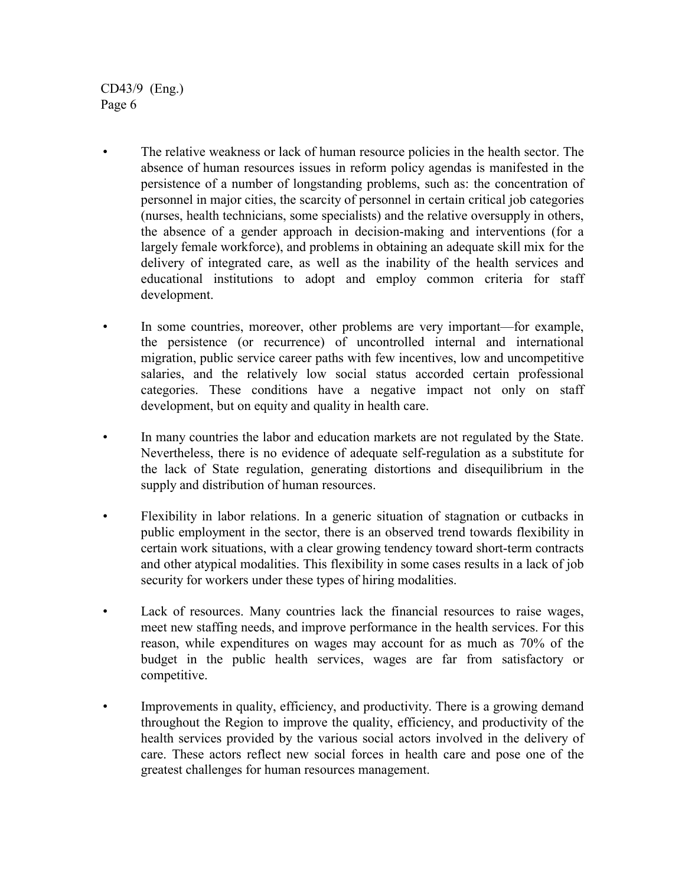- The relative weakness or lack of human resource policies in the health sector. The absence of human resources issues in reform policy agendas is manifested in the persistence of a number of longstanding problems, such as: the concentration of personnel in major cities, the scarcity of personnel in certain critical job categories (nurses, health technicians, some specialists) and the relative oversupply in others, the absence of a gender approach in decision-making and interventions (for a largely female workforce), and problems in obtaining an adequate skill mix for the delivery of integrated care, as well as the inability of the health services and educational institutions to adopt and employ common criteria for staff development.
- In some countries, moreover, other problems are very important—for example, the persistence (or recurrence) of uncontrolled internal and international migration, public service career paths with few incentives, low and uncompetitive salaries, and the relatively low social status accorded certain professional categories. These conditions have a negative impact not only on staff development, but on equity and quality in health care.
- In many countries the labor and education markets are not regulated by the State. Nevertheless, there is no evidence of adequate self-regulation as a substitute for the lack of State regulation, generating distortions and disequilibrium in the supply and distribution of human resources.
- Flexibility in labor relations. In a generic situation of stagnation or cutbacks in public employment in the sector, there is an observed trend towards flexibility in certain work situations, with a clear growing tendency toward short-term contracts and other atypical modalities. This flexibility in some cases results in a lack of job security for workers under these types of hiring modalities.
- Lack of resources. Many countries lack the financial resources to raise wages, meet new staffing needs, and improve performance in the health services. For this reason, while expenditures on wages may account for as much as 70% of the budget in the public health services, wages are far from satisfactory or competitive.
- Improvements in quality, efficiency, and productivity. There is a growing demand throughout the Region to improve the quality, efficiency, and productivity of the health services provided by the various social actors involved in the delivery of care. These actors reflect new social forces in health care and pose one of the greatest challenges for human resources management.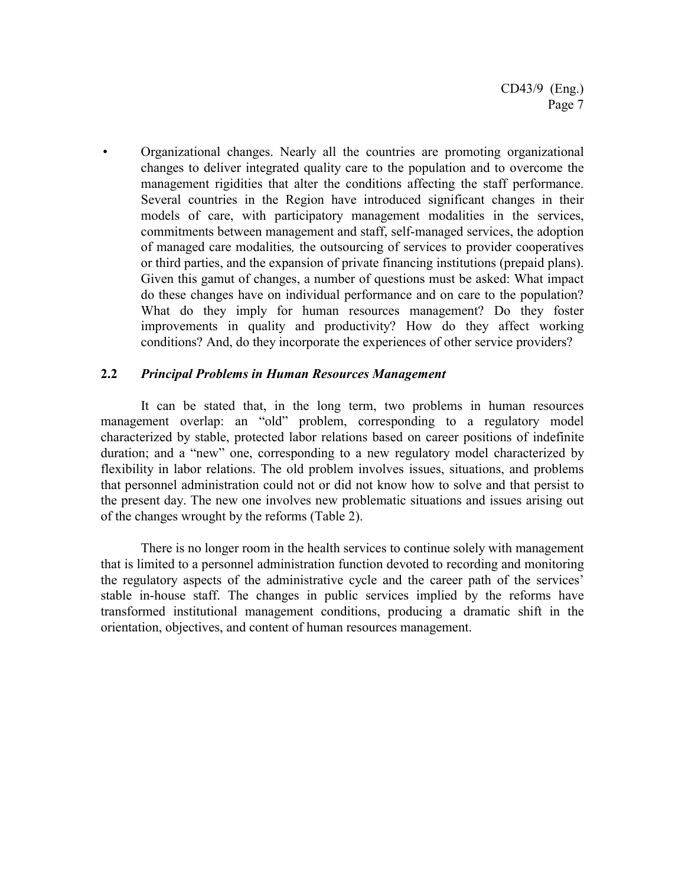Organizational changes. Nearly all the countries are promoting organizational changes to deliver integrated quality care to the population and to overcome the management rigidities that alter the conditions affecting the staff performance. Several countries in the Region have introduced significant changes in their models of care, with participatory management modalities in the services, commitments between management and staff, self-managed services, the adoption of managed care modalities*,* the outsourcing of services to provider cooperatives or third parties, and the expansion of private financing institutions (prepaid plans). Given this gamut of changes, a number of questions must be asked: What impact do these changes have on individual performance and on care to the population? What do they imply for human resources management? Do they foster improvements in quality and productivity? How do they affect working conditions? And, do they incorporate the experiences of other service providers?

#### **2.2** *Principal Problems in Human Resources Management*

It can be stated that, in the long term, two problems in human resources management overlap: an "old" problem, corresponding to a regulatory model characterized by stable, protected labor relations based on career positions of indefinite duration; and a "new" one, corresponding to a new regulatory model characterized by flexibility in labor relations. The old problem involves issues, situations, and problems that personnel administration could not or did not know how to solve and that persist to the present day. The new one involves new problematic situations and issues arising out of the changes wrought by the reforms (Table 2).

There is no longer room in the health services to continue solely with management that is limited to a personnel administration function devoted to recording and monitoring the regulatory aspects of the administrative cycle and the career path of the services' stable in-house staff. The changes in public services implied by the reforms have transformed institutional management conditions, producing a dramatic shift in the orientation, objectives, and content of human resources management.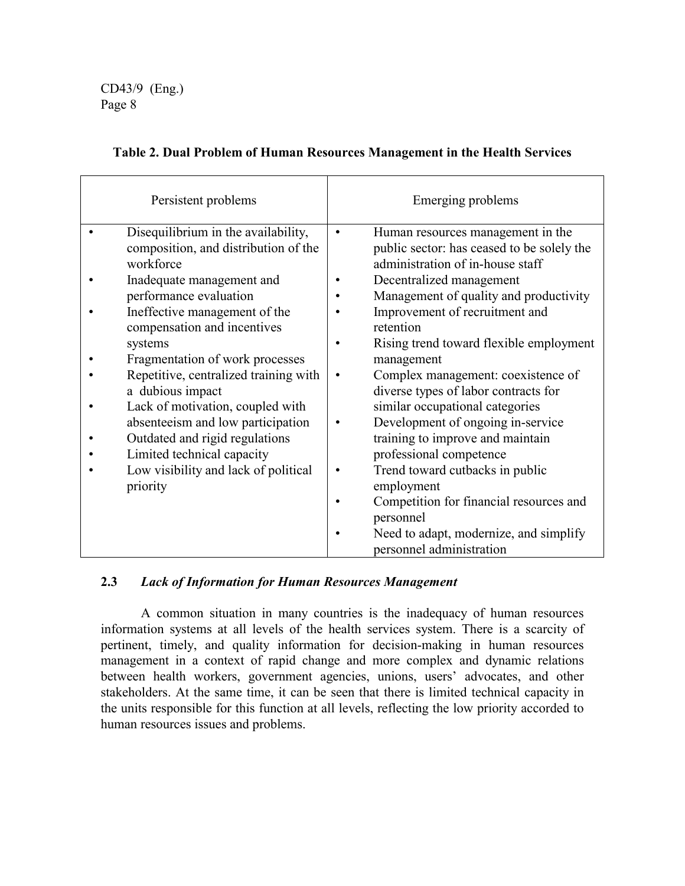| Persistent problems                                                                                                                                                                                                                                                                                                                                                                                                                                                                                                     | Emerging problems                                                                                                                                                                                                                                                                                                                                                                                                                                                                                                                                                                                                                                                                                                                          |
|-------------------------------------------------------------------------------------------------------------------------------------------------------------------------------------------------------------------------------------------------------------------------------------------------------------------------------------------------------------------------------------------------------------------------------------------------------------------------------------------------------------------------|--------------------------------------------------------------------------------------------------------------------------------------------------------------------------------------------------------------------------------------------------------------------------------------------------------------------------------------------------------------------------------------------------------------------------------------------------------------------------------------------------------------------------------------------------------------------------------------------------------------------------------------------------------------------------------------------------------------------------------------------|
| Disequilibrium in the availability,<br>composition, and distribution of the<br>workforce<br>Inadequate management and<br>performance evaluation<br>Ineffective management of the<br>compensation and incentives<br>systems<br>Fragmentation of work processes<br>Repetitive, centralized training with<br>a dubious impact<br>Lack of motivation, coupled with<br>absenteeism and low participation<br>Outdated and rigid regulations<br>Limited technical capacity<br>Low visibility and lack of political<br>priority | Human resources management in the<br>$\bullet$<br>public sector: has ceased to be solely the<br>administration of in-house staff<br>Decentralized management<br>Management of quality and productivity<br>Improvement of recruitment and<br>retention<br>Rising trend toward flexible employment<br>management<br>Complex management: coexistence of<br>diverse types of labor contracts for<br>similar occupational categories<br>Development of ongoing in-service<br>$\bullet$<br>training to improve and maintain<br>professional competence<br>Trend toward cutbacks in public<br>$\bullet$<br>employment<br>Competition for financial resources and<br>$\bullet$<br>personnel<br>Need to adapt, modernize, and simplify<br>$\bullet$ |
|                                                                                                                                                                                                                                                                                                                                                                                                                                                                                                                         | personnel administration                                                                                                                                                                                                                                                                                                                                                                                                                                                                                                                                                                                                                                                                                                                   |

#### **Table 2. Dual Problem of Human Resources Management in the Health Services**

#### **2.3** *Lack of Information for Human Resources Management*

A common situation in many countries is the inadequacy of human resources information systems at all levels of the health services system. There is a scarcity of pertinent, timely, and quality information for decision-making in human resources management in a context of rapid change and more complex and dynamic relations between health workers, government agencies, unions, users' advocates, and other stakeholders. At the same time, it can be seen that there is limited technical capacity in the units responsible for this function at all levels, reflecting the low priority accorded to human resources issues and problems.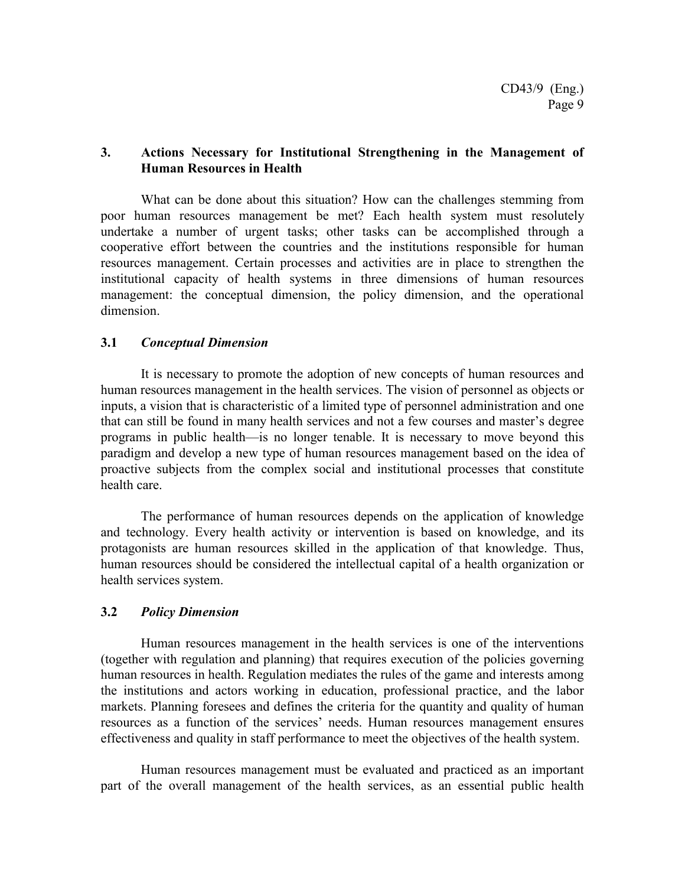#### **3. Actions Necessary for Institutional Strengthening in the Management of Human Resources in Health**

What can be done about this situation? How can the challenges stemming from poor human resources management be met? Each health system must resolutely undertake a number of urgent tasks; other tasks can be accomplished through a cooperative effort between the countries and the institutions responsible for human resources management. Certain processes and activities are in place to strengthen the institutional capacity of health systems in three dimensions of human resources management: the conceptual dimension, the policy dimension, and the operational dimension.

#### **3.1** *Conceptual Dimension*

It is necessary to promote the adoption of new concepts of human resources and human resources management in the health services. The vision of personnel as objects or inputs, a vision that is characteristic of a limited type of personnel administration and one that can still be found in many health services and not a few courses and master's degree programs in public health—is no longer tenable. It is necessary to move beyond this paradigm and develop a new type of human resources management based on the idea of proactive subjects from the complex social and institutional processes that constitute health care.

The performance of human resources depends on the application of knowledge and technology. Every health activity or intervention is based on knowledge, and its protagonists are human resources skilled in the application of that knowledge. Thus, human resources should be considered the intellectual capital of a health organization or health services system.

#### **3.2** *Policy Dimension*

Human resources management in the health services is one of the interventions (together with regulation and planning) that requires execution of the policies governing human resources in health. Regulation mediates the rules of the game and interests among the institutions and actors working in education, professional practice, and the labor markets. Planning foresees and defines the criteria for the quantity and quality of human resources as a function of the services' needs. Human resources management ensures effectiveness and quality in staff performance to meet the objectives of the health system.

Human resources management must be evaluated and practiced as an important part of the overall management of the health services, as an essential public health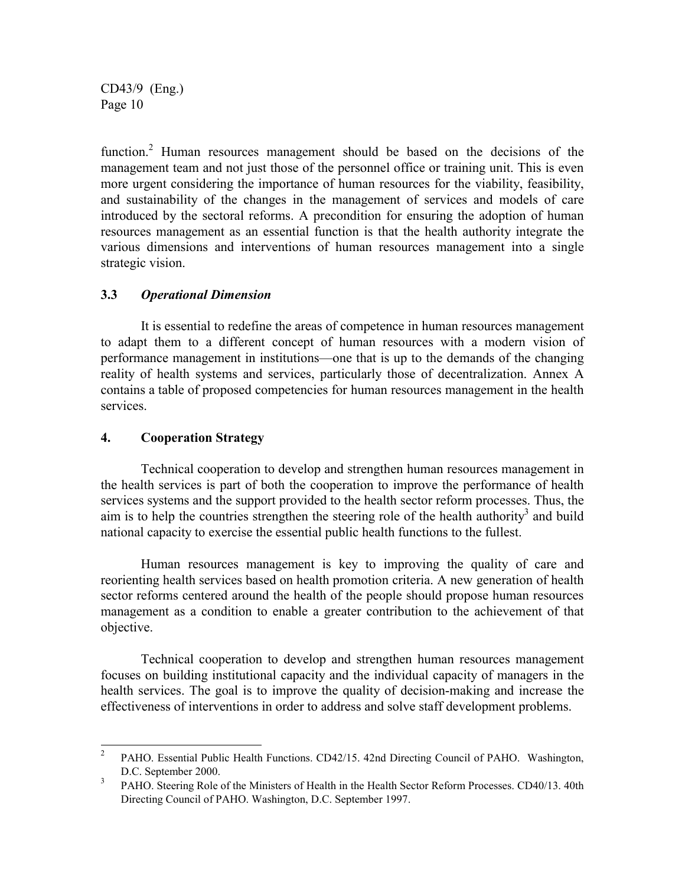function.<sup>2</sup> Human resources management should be based on the decisions of the management team and not just those of the personnel office or training unit. This is even more urgent considering the importance of human resources for the viability, feasibility, and sustainability of the changes in the management of services and models of care introduced by the sectoral reforms. A precondition for ensuring the adoption of human resources management as an essential function is that the health authority integrate the various dimensions and interventions of human resources management into a single strategic vision.

#### **3.3** *Operational Dimension*

It is essential to redefine the areas of competence in human resources management to adapt them to a different concept of human resources with a modern vision of performance management in institutions—one that is up to the demands of the changing reality of health systems and services, particularly those of decentralization. Annex A contains a table of proposed competencies for human resources management in the health services.

#### **4. Cooperation Strategy**

Technical cooperation to develop and strengthen human resources management in the health services is part of both the cooperation to improve the performance of health services systems and the support provided to the health sector reform processes. Thus, the aim is to help the countries strengthen the steering role of the health authority<sup>3</sup> and build national capacity to exercise the essential public health functions to the fullest.

Human resources management is key to improving the quality of care and reorienting health services based on health promotion criteria. A new generation of health sector reforms centered around the health of the people should propose human resources management as a condition to enable a greater contribution to the achievement of that objective.

Technical cooperation to develop and strengthen human resources management focuses on building institutional capacity and the individual capacity of managers in the health services. The goal is to improve the quality of decision-making and increase the effectiveness of interventions in order to address and solve staff development problems.

 $\overline{2}$ <sup>2</sup> PAHO. Essential Public Health Functions. CD42/15. 42nd Directing Council of PAHO. Washington, D.C. September 2000.

<sup>&</sup>lt;sup>3</sup> PAHO. Steering Role of the Ministers of Health in the Health Sector Reform Processes. CD40/13. 40th Directing Council of PAHO. Washington, D.C. September 1997.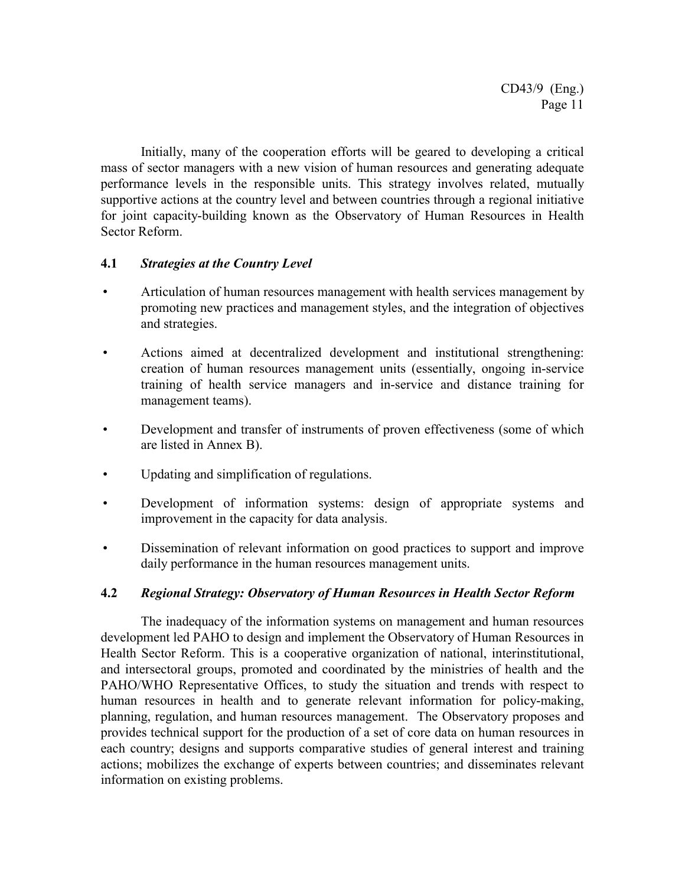Initially, many of the cooperation efforts will be geared to developing a critical mass of sector managers with a new vision of human resources and generating adequate performance levels in the responsible units. This strategy involves related, mutually supportive actions at the country level and between countries through a regional initiative for joint capacity-building known as the Observatory of Human Resources in Health Sector Reform.

#### **4.1** *Strategies at the Country Level*

- Articulation of human resources management with health services management by promoting new practices and management styles, and the integration of objectives and strategies.
- Actions aimed at decentralized development and institutional strengthening: creation of human resources management units (essentially, ongoing in-service training of health service managers and in-service and distance training for management teams).
- Development and transfer of instruments of proven effectiveness (some of which are listed in Annex B).
- Updating and simplification of regulations.
- Development of information systems: design of appropriate systems and improvement in the capacity for data analysis.
- Dissemination of relevant information on good practices to support and improve daily performance in the human resources management units.

#### **4.2** *Regional Strategy: Observatory of Human Resources in Health Sector Reform*

The inadequacy of the information systems on management and human resources development led PAHO to design and implement the Observatory of Human Resources in Health Sector Reform. This is a cooperative organization of national, interinstitutional, and intersectoral groups, promoted and coordinated by the ministries of health and the PAHO/WHO Representative Offices, to study the situation and trends with respect to human resources in health and to generate relevant information for policy-making, planning, regulation, and human resources management. The Observatory proposes and provides technical support for the production of a set of core data on human resources in each country; designs and supports comparative studies of general interest and training actions; mobilizes the exchange of experts between countries; and disseminates relevant information on existing problems.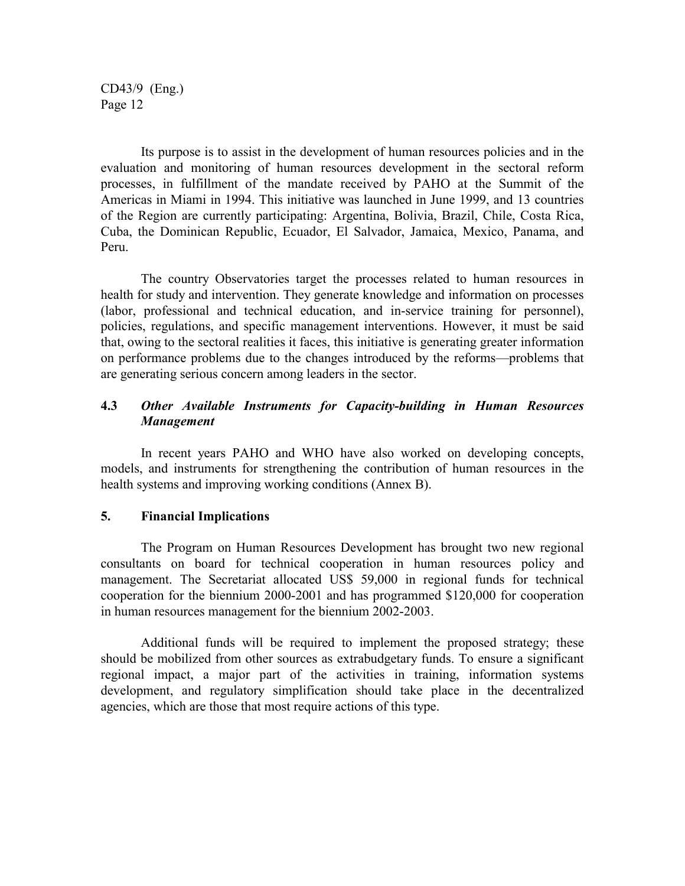Its purpose is to assist in the development of human resources policies and in the evaluation and monitoring of human resources development in the sectoral reform processes, in fulfillment of the mandate received by PAHO at the Summit of the Americas in Miami in 1994. This initiative was launched in June 1999, and 13 countries of the Region are currently participating: Argentina, Bolivia, Brazil, Chile, Costa Rica, Cuba, the Dominican Republic, Ecuador, El Salvador, Jamaica, Mexico, Panama, and Peru.

The country Observatories target the processes related to human resources in health for study and intervention. They generate knowledge and information on processes (labor, professional and technical education, and in-service training for personnel), policies, regulations, and specific management interventions. However, it must be said that, owing to the sectoral realities it faces, this initiative is generating greater information on performance problems due to the changes introduced by the reforms—problems that are generating serious concern among leaders in the sector.

#### **4.3** *Other Available Instruments for Capacity-building in Human Resources Management*

In recent years PAHO and WHO have also worked on developing concepts, models, and instruments for strengthening the contribution of human resources in the health systems and improving working conditions (Annex B).

#### **5. Financial Implications**

The Program on Human Resources Development has brought two new regional consultants on board for technical cooperation in human resources policy and management. The Secretariat allocated US\$ 59,000 in regional funds for technical cooperation for the biennium 2000-2001 and has programmed \$120,000 for cooperation in human resources management for the biennium 2002-2003.

Additional funds will be required to implement the proposed strategy; these should be mobilized from other sources as extrabudgetary funds. To ensure a significant regional impact, a major part of the activities in training, information systems development, and regulatory simplification should take place in the decentralized agencies, which are those that most require actions of this type.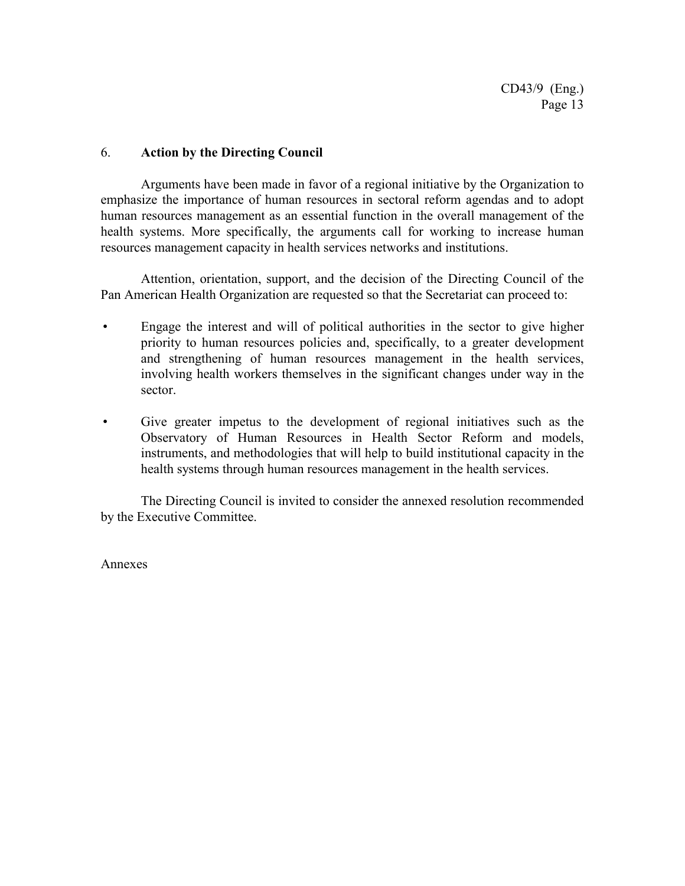#### 6. **Action by the Directing Council**

Arguments have been made in favor of a regional initiative by the Organization to emphasize the importance of human resources in sectoral reform agendas and to adopt human resources management as an essential function in the overall management of the health systems. More specifically, the arguments call for working to increase human resources management capacity in health services networks and institutions.

Attention, orientation, support, and the decision of the Directing Council of the Pan American Health Organization are requested so that the Secretariat can proceed to:

- Engage the interest and will of political authorities in the sector to give higher priority to human resources policies and, specifically, to a greater development and strengthening of human resources management in the health services, involving health workers themselves in the significant changes under way in the sector.
- Give greater impetus to the development of regional initiatives such as the Observatory of Human Resources in Health Sector Reform and models, instruments, and methodologies that will help to build institutional capacity in the health systems through human resources management in the health services.

The Directing Council is invited to consider the annexed resolution recommended by the Executive Committee.

Annexes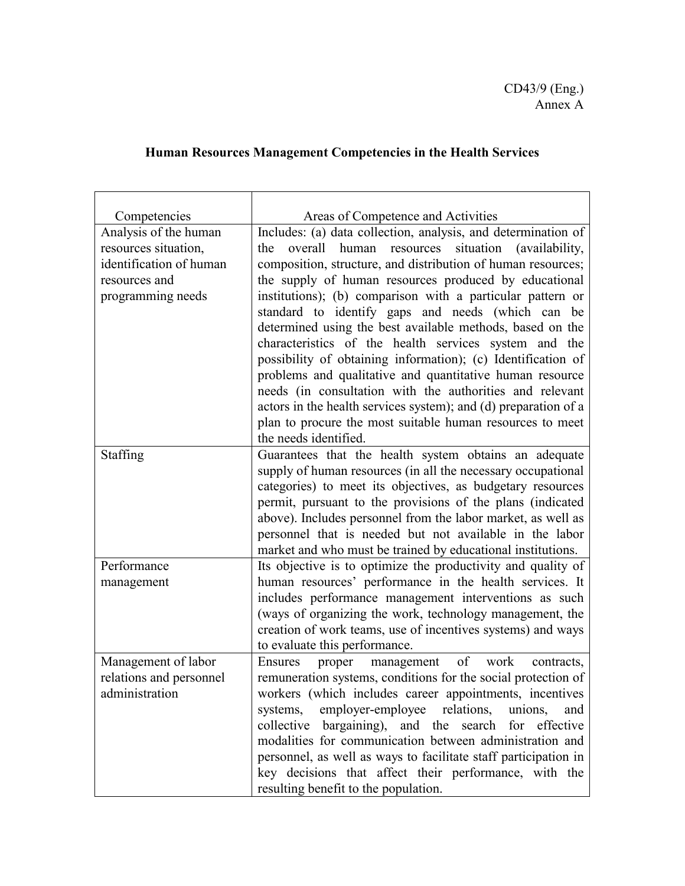## **Human Resources Management Competencies in the Health Services**

| Competencies            | Areas of Competence and Activities                                                                                                                                                                                                                                                                                                                                                                                            |
|-------------------------|-------------------------------------------------------------------------------------------------------------------------------------------------------------------------------------------------------------------------------------------------------------------------------------------------------------------------------------------------------------------------------------------------------------------------------|
| Analysis of the human   | Includes: (a) data collection, analysis, and determination of                                                                                                                                                                                                                                                                                                                                                                 |
| resources situation,    | situation (availability,<br>overall<br>human<br>resources<br>the                                                                                                                                                                                                                                                                                                                                                              |
| identification of human | composition, structure, and distribution of human resources;                                                                                                                                                                                                                                                                                                                                                                  |
| resources and           | the supply of human resources produced by educational                                                                                                                                                                                                                                                                                                                                                                         |
| programming needs       | institutions); (b) comparison with a particular pattern or<br>standard to identify gaps and needs (which can be<br>determined using the best available methods, based on the<br>characteristics of the health services system and the<br>possibility of obtaining information); (c) Identification of<br>problems and qualitative and quantitative human resource<br>needs (in consultation with the authorities and relevant |
|                         | actors in the health services system); and (d) preparation of a                                                                                                                                                                                                                                                                                                                                                               |
|                         | plan to procure the most suitable human resources to meet<br>the needs identified.                                                                                                                                                                                                                                                                                                                                            |
| Staffing                | Guarantees that the health system obtains an adequate                                                                                                                                                                                                                                                                                                                                                                         |
|                         | supply of human resources (in all the necessary occupational                                                                                                                                                                                                                                                                                                                                                                  |
|                         | categories) to meet its objectives, as budgetary resources                                                                                                                                                                                                                                                                                                                                                                    |
|                         | permit, pursuant to the provisions of the plans (indicated                                                                                                                                                                                                                                                                                                                                                                    |
|                         | above). Includes personnel from the labor market, as well as                                                                                                                                                                                                                                                                                                                                                                  |
|                         | personnel that is needed but not available in the labor                                                                                                                                                                                                                                                                                                                                                                       |
|                         | market and who must be trained by educational institutions.                                                                                                                                                                                                                                                                                                                                                                   |
| Performance             | Its objective is to optimize the productivity and quality of                                                                                                                                                                                                                                                                                                                                                                  |
| management              | human resources' performance in the health services. It                                                                                                                                                                                                                                                                                                                                                                       |
|                         | includes performance management interventions as such                                                                                                                                                                                                                                                                                                                                                                         |
|                         | (ways of organizing the work, technology management, the                                                                                                                                                                                                                                                                                                                                                                      |
|                         | creation of work teams, use of incentives systems) and ways                                                                                                                                                                                                                                                                                                                                                                   |
|                         | to evaluate this performance.                                                                                                                                                                                                                                                                                                                                                                                                 |
| Management of labor     | of<br>work<br>Ensures<br>proper<br>management<br>contracts,                                                                                                                                                                                                                                                                                                                                                                   |
| relations and personnel | remuneration systems, conditions for the social protection of                                                                                                                                                                                                                                                                                                                                                                 |
| administration          | workers (which includes career appointments, incentives                                                                                                                                                                                                                                                                                                                                                                       |
|                         | systems, employer-employee relations, unions,<br>and                                                                                                                                                                                                                                                                                                                                                                          |
|                         | collective bargaining), and the search for effective                                                                                                                                                                                                                                                                                                                                                                          |
|                         | modalities for communication between administration and                                                                                                                                                                                                                                                                                                                                                                       |
|                         | personnel, as well as ways to facilitate staff participation in                                                                                                                                                                                                                                                                                                                                                               |
|                         | key decisions that affect their performance, with the                                                                                                                                                                                                                                                                                                                                                                         |
|                         | resulting benefit to the population.                                                                                                                                                                                                                                                                                                                                                                                          |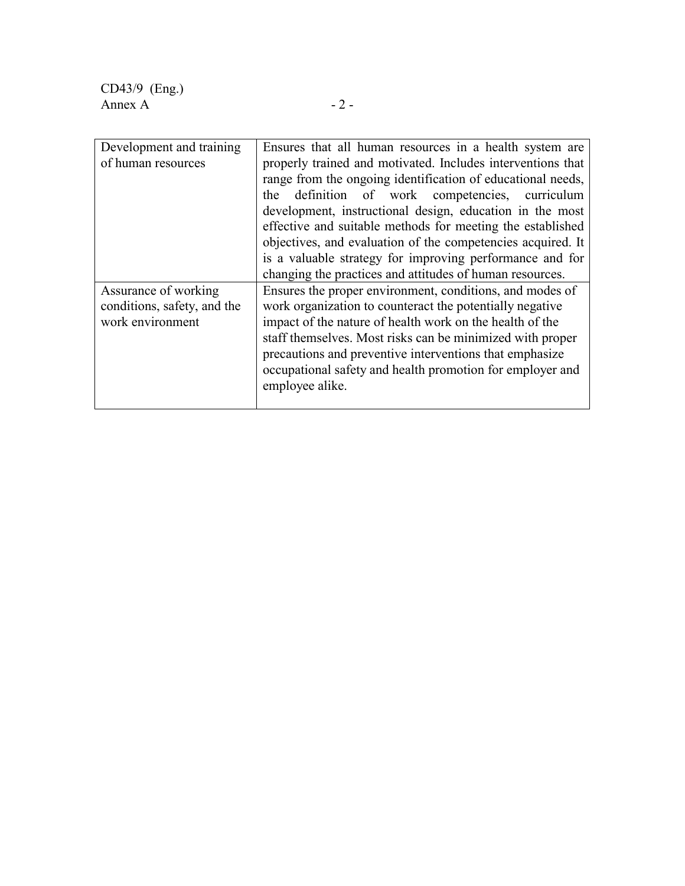CD43/9 (Eng.) Annex A  $-2$  -

| Development and training    | Ensures that all human resources in a health system are     |  |
|-----------------------------|-------------------------------------------------------------|--|
| of human resources          | properly trained and motivated. Includes interventions that |  |
|                             | range from the ongoing identification of educational needs, |  |
|                             | the definition of work competencies, curriculum             |  |
|                             | development, instructional design, education in the most    |  |
|                             | effective and suitable methods for meeting the established  |  |
|                             | objectives, and evaluation of the competencies acquired. It |  |
|                             | is a valuable strategy for improving performance and for    |  |
|                             | changing the practices and attitudes of human resources.    |  |
| Assurance of working        | Ensures the proper environment, conditions, and modes of    |  |
| conditions, safety, and the | work organization to counteract the potentially negative    |  |
| work environment            | impact of the nature of health work on the health of the    |  |
|                             | staff themselves. Most risks can be minimized with proper   |  |
|                             | precautions and preventive interventions that emphasize     |  |
|                             | occupational safety and health promotion for employer and   |  |
|                             | employee alike.                                             |  |
|                             |                                                             |  |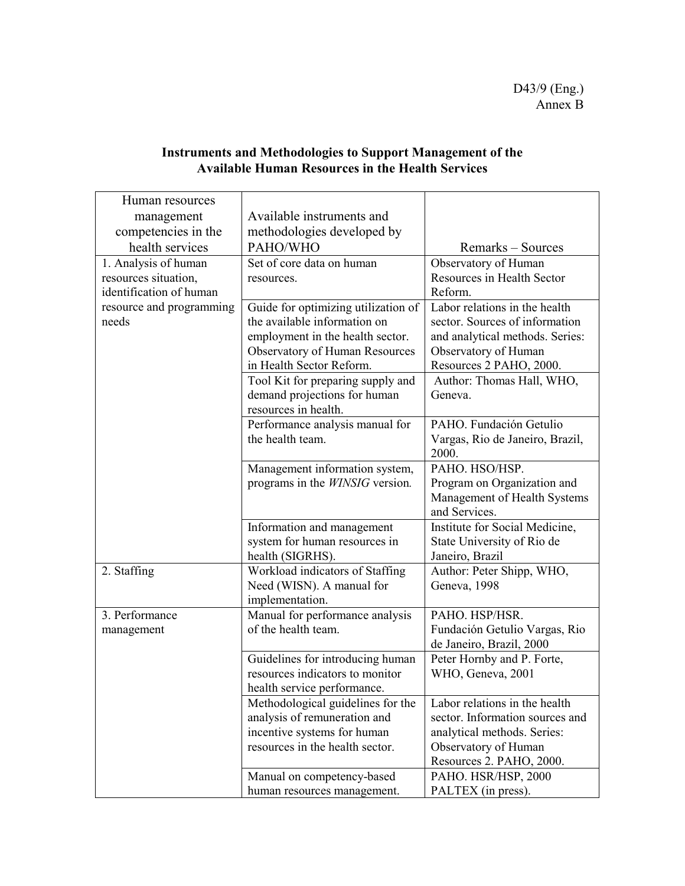| Human resources          |                                        |                                 |
|--------------------------|----------------------------------------|---------------------------------|
| management               | Available instruments and              |                                 |
| competencies in the      | methodologies developed by             |                                 |
| health services          | PAHO/WHO                               | Remarks – Sources               |
| 1. Analysis of human     | Set of core data on human              | Observatory of Human            |
| resources situation,     | resources.                             | Resources in Health Sector      |
| identification of human  |                                        | Reform.                         |
| resource and programming | Guide for optimizing utilization of    | Labor relations in the health   |
| needs                    | the available information on           | sector. Sources of information  |
|                          | employment in the health sector.       | and analytical methods. Series: |
|                          | <b>Observatory of Human Resources</b>  | Observatory of Human            |
|                          | in Health Sector Reform.               | Resources 2 PAHO, 2000.         |
|                          | Tool Kit for preparing supply and      | Author: Thomas Hall, WHO,       |
|                          | demand projections for human           | Geneva.                         |
|                          | resources in health.                   |                                 |
|                          | Performance analysis manual for        | PAHO. Fundación Getulio         |
|                          | the health team.                       | Vargas, Rio de Janeiro, Brazil, |
|                          |                                        | 2000.                           |
|                          | Management information system,         | PAHO. HSO/HSP.                  |
|                          | programs in the <i>WINSIG</i> version. | Program on Organization and     |
|                          |                                        | Management of Health Systems    |
|                          |                                        | and Services.                   |
|                          | Information and management             | Institute for Social Medicine,  |
|                          | system for human resources in          | State University of Rio de      |
|                          | health (SIGRHS).                       | Janeiro, Brazil                 |
| 2. Staffing              | Workload indicators of Staffing        | Author: Peter Shipp, WHO,       |
|                          | Need (WISN). A manual for              | Geneva, 1998                    |
|                          | implementation.                        |                                 |
| 3. Performance           | Manual for performance analysis        | PAHO. HSP/HSR.                  |
| management               | of the health team.                    | Fundación Getulio Vargas, Rio   |
|                          |                                        | de Janeiro, Brazil, 2000        |
|                          | Guidelines for introducing human       | Peter Hornby and P. Forte,      |
|                          | resources indicators to monitor        | WHO, Geneva, 2001               |
|                          | health service performance.            |                                 |
|                          | Methodological guidelines for the      | Labor relations in the health   |
|                          | analysis of remuneration and           | sector. Information sources and |
|                          | incentive systems for human            | analytical methods. Series:     |
|                          | resources in the health sector.        | Observatory of Human            |
|                          |                                        | Resources 2. PAHO, 2000.        |
|                          | Manual on competency-based             | PAHO. HSR/HSP, 2000             |
|                          | human resources management.            | PALTEX (in press).              |

#### **Instruments and Methodologies to Support Management of the Available Human Resources in the Health Services**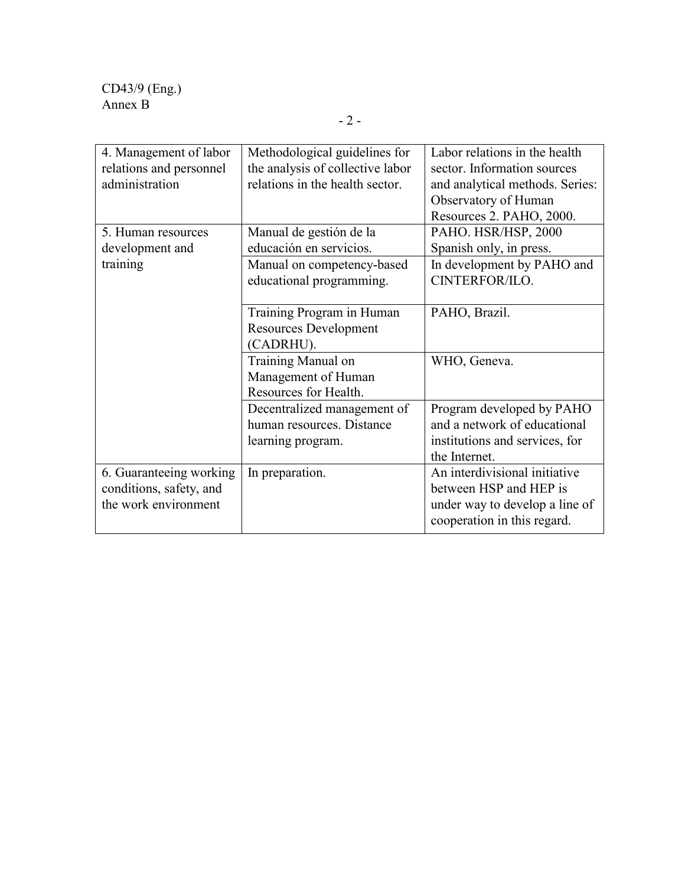| 4. Management of labor  | Methodological guidelines for    | Labor relations in the health   |
|-------------------------|----------------------------------|---------------------------------|
| relations and personnel | the analysis of collective labor | sector. Information sources     |
| administration          | relations in the health sector.  | and analytical methods. Series: |
|                         |                                  | Observatory of Human            |
|                         |                                  | Resources 2. PAHO, 2000.        |
| 5. Human resources      | Manual de gestión de la          | PAHO. HSR/HSP, 2000             |
| development and         | educación en servicios.          | Spanish only, in press.         |
| training                | Manual on competency-based       | In development by PAHO and      |
|                         | educational programming.         | CINTERFOR/ILO.                  |
|                         |                                  |                                 |
|                         | Training Program in Human        | PAHO, Brazil.                   |
|                         | <b>Resources Development</b>     |                                 |
|                         | (CADRHU).                        |                                 |
|                         | Training Manual on               | WHO, Geneva.                    |
|                         | Management of Human              |                                 |
|                         | Resources for Health.            |                                 |
|                         | Decentralized management of      | Program developed by PAHO       |
|                         | human resources. Distance        | and a network of educational    |
|                         | learning program.                | institutions and services, for  |
|                         |                                  | the Internet.                   |
| 6. Guaranteeing working | In preparation.                  | An interdivisional initiative   |
| conditions, safety, and |                                  | between HSP and HEP is          |
| the work environment    |                                  | under way to develop a line of  |
|                         |                                  | cooperation in this regard.     |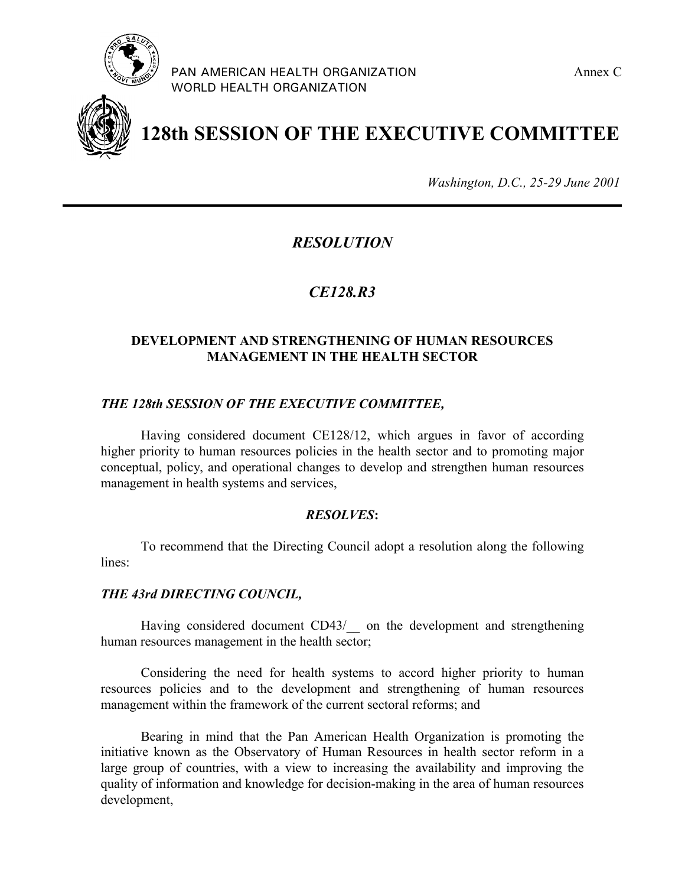

PAN AMERICAN HEALTH ORGANIZATION **Annex C** Annex C WORLD HEALTH ORGANIZATION



# **128th SESSION OF THE EXECUTIVE COMMITTEE**

*Washington, D.C., 25-29 June 2001*

### *RESOLUTION*

### *CE128.R3*

#### **DEVELOPMENT AND STRENGTHENING OF HUMAN RESOURCES MANAGEMENT IN THE HEALTH SECTOR**

#### *THE 128th SESSION OF THE EXECUTIVE COMMITTEE,*

Having considered document CE128/12, which argues in favor of according higher priority to human resources policies in the health sector and to promoting major conceptual, policy, and operational changes to develop and strengthen human resources management in health systems and services,

#### *RESOLVES***:**

To recommend that the Directing Council adopt a resolution along the following lines:

#### *THE 43rd DIRECTING COUNCIL,*

Having considered document CD43/ on the development and strengthening human resources management in the health sector;

Considering the need for health systems to accord higher priority to human resources policies and to the development and strengthening of human resources management within the framework of the current sectoral reforms; and

Bearing in mind that the Pan American Health Organization is promoting the initiative known as the Observatory of Human Resources in health sector reform in a large group of countries, with a view to increasing the availability and improving the quality of information and knowledge for decision-making in the area of human resources development,